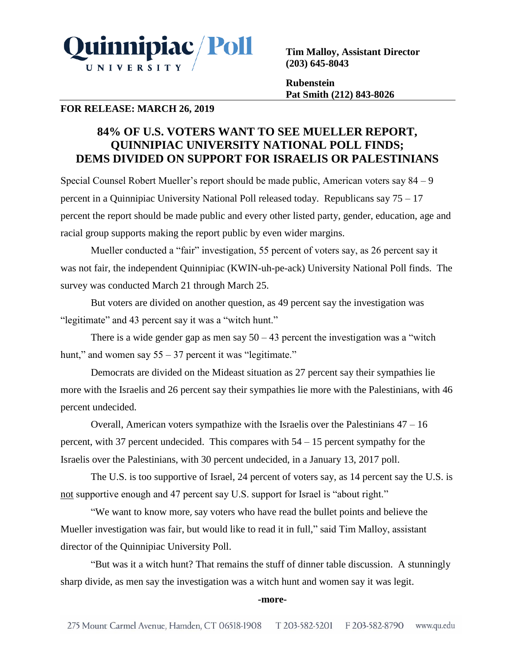

**Tim Malloy, Assistant Director (203) 645-8043**

**Rubenstein Pat Smith (212) 843-8026**

## **FOR RELEASE: MARCH 26, 2019**

# **84% OF U.S. VOTERS WANT TO SEE MUELLER REPORT, QUINNIPIAC UNIVERSITY NATIONAL POLL FINDS; DEMS DIVIDED ON SUPPORT FOR ISRAELIS OR PALESTINIANS**

Special Counsel Robert Mueller's report should be made public, American voters say 84 – 9 percent in a Quinnipiac University National Poll released today. Republicans say 75 – 17 percent the report should be made public and every other listed party, gender, education, age and racial group supports making the report public by even wider margins.

Mueller conducted a "fair" investigation, 55 percent of voters say, as 26 percent say it was not fair, the independent Quinnipiac (KWIN-uh-pe-ack) University National Poll finds. The survey was conducted March 21 through March 25.

But voters are divided on another question, as 49 percent say the investigation was "legitimate" and 43 percent say it was a "witch hunt."

There is a wide gender gap as men say  $50 - 43$  percent the investigation was a "witch" hunt," and women say 55 – 37 percent it was "legitimate."

Democrats are divided on the Mideast situation as 27 percent say their sympathies lie more with the Israelis and 26 percent say their sympathies lie more with the Palestinians, with 46 percent undecided.

Overall, American voters sympathize with the Israelis over the Palestinians  $47 - 16$ percent, with 37 percent undecided. This compares with 54 – 15 percent sympathy for the Israelis over the Palestinians, with 30 percent undecided, in a January 13, 2017 poll.

The U.S. is too supportive of Israel, 24 percent of voters say, as 14 percent say the U.S. is not supportive enough and 47 percent say U.S. support for Israel is "about right."

"We want to know more, say voters who have read the bullet points and believe the Mueller investigation was fair, but would like to read it in full," said Tim Malloy, assistant director of the Quinnipiac University Poll.

"But was it a witch hunt? That remains the stuff of dinner table discussion. A stunningly sharp divide, as men say the investigation was a witch hunt and women say it was legit.

#### **-more-**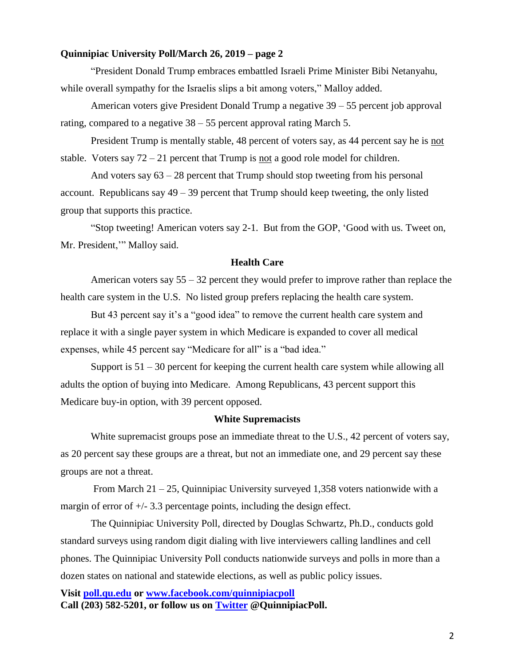#### **Quinnipiac University Poll/March 26, 2019 – page 2**

"President Donald Trump embraces embattled Israeli Prime Minister Bibi Netanyahu, while overall sympathy for the Israelis slips a bit among voters," Malloy added.

American voters give President Donald Trump a negative 39 – 55 percent job approval rating, compared to a negative 38 – 55 percent approval rating March 5.

President Trump is mentally stable, 48 percent of voters say, as 44 percent say he is not stable. Voters say  $72 - 21$  percent that Trump is not a good role model for children.

And voters say 63 – 28 percent that Trump should stop tweeting from his personal account. Republicans say  $49 - 39$  percent that Trump should keep tweeting, the only listed group that supports this practice.

"Stop tweeting! American voters say 2-1. But from the GOP, 'Good with us. Tweet on, Mr. President,'" Malloy said.

### **Health Care**

American voters say  $55 - 32$  percent they would prefer to improve rather than replace the health care system in the U.S. No listed group prefers replacing the health care system.

But 43 percent say it's a "good idea" to remove the current health care system and replace it with a single payer system in which Medicare is expanded to cover all medical expenses, while 45 percent say "Medicare for all" is a "bad idea."

Support is  $51 - 30$  percent for keeping the current health care system while allowing all adults the option of buying into Medicare. Among Republicans, 43 percent support this Medicare buy-in option, with 39 percent opposed.

#### **White Supremacists**

White supremacist groups pose an immediate threat to the U.S., 42 percent of voters say, as 20 percent say these groups are a threat, but not an immediate one, and 29 percent say these groups are not a threat.

From March 21 – 25, Quinnipiac University surveyed 1,358 voters nationwide with a margin of error of +/- 3.3 percentage points, including the design effect.

The Quinnipiac University Poll, directed by Douglas Schwartz, Ph.D., conducts gold standard surveys using random digit dialing with live interviewers calling landlines and cell phones. The Quinnipiac University Poll conducts nationwide surveys and polls in more than a dozen states on national and statewide elections, as well as public policy issues.

**Visit [poll.qu.edu](https://poll.qu.edu/) or [www.facebook.com/quinnipiacpoll](http://www.facebook.com/quinnipiacpoll)  Call (203) 582-5201, or follow us on [Twitter](http://twitter.com/QuinnipiacPoll) @QuinnipiacPoll.**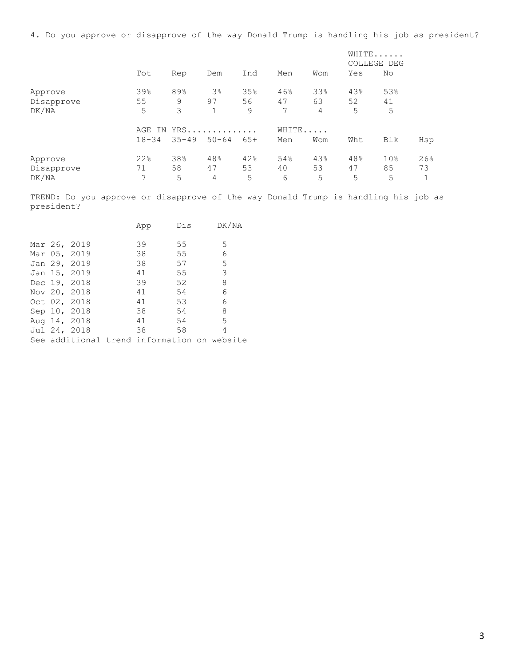4. Do you approve or disapprove of the way Donald Trump is handling his job as president?

|                                |                     |                  |                                      |                |                |                | WHITE<br>COLLEGE DEG |                            |           |
|--------------------------------|---------------------|------------------|--------------------------------------|----------------|----------------|----------------|----------------------|----------------------------|-----------|
|                                | Tot                 | Rep              | Dem                                  | Ind            | Men            | Wom            | Yes                  | No                         |           |
| Approve<br>Disapprove<br>DK/NA | 39%<br>55<br>5      | 89%<br>9<br>3    | 3 <sup>°</sup><br>97<br>$\mathbf{1}$ | 35%<br>56<br>9 | 46%<br>47<br>7 | 33%<br>63<br>4 | 43%<br>52<br>5       | 53%<br>41<br>5             |           |
|                                | AGE IN<br>$18 - 34$ | YRS<br>$35 - 49$ | $50 - 64$                            | $65+$          | WHITE<br>Men   | Wom            | Wht                  | Blk                        | Hsp       |
| Approve<br>Disapprove<br>DK/NA | 22%<br>71<br>7      | 38%<br>58<br>5   | 48%<br>47<br>4                       | 42%<br>53<br>5 | 54%<br>40<br>6 | 43%<br>53<br>5 | 48%<br>47<br>5       | 10 <sub>8</sub><br>85<br>5 | 26%<br>73 |

TREND: Do you approve or disapprove of the way Donald Trump is handling his job as president?

|  |              | App                                         | Dis | DK/NA |
|--|--------------|---------------------------------------------|-----|-------|
|  |              |                                             |     |       |
|  | Mar 26, 2019 | 39                                          | 55  | 5     |
|  | Mar 05, 2019 | 38                                          | 55  | 6     |
|  | Jan 29, 2019 | 38                                          | 57  | 5     |
|  | Jan 15, 2019 | 41                                          | 55  | 3     |
|  | Dec 19, 2018 | 39                                          | 52  | 8     |
|  | Nov 20, 2018 | 41                                          | 54  | 6     |
|  | Oct 02, 2018 | 41                                          | 53  | 6     |
|  | Sep 10, 2018 | 38                                          | 54  | 8     |
|  | Aug 14, 2018 | 41                                          | 54  | 5     |
|  | Jul 24, 2018 | 38                                          | 58  | 4     |
|  |              | See additional trend information on website |     |       |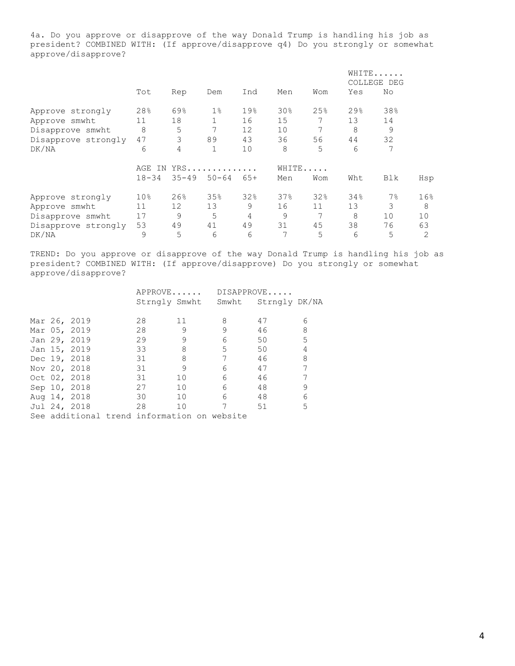4a. Do you approve or disapprove of the way Donald Trump is handling his job as president? COMBINED WITH: (If approve/disapprove q4) Do you strongly or somewhat approve/disapprove?

|                     |                 |           |           |       |       |     |     | WHITE<br>COLLEGE DEG |                |  |
|---------------------|-----------------|-----------|-----------|-------|-------|-----|-----|----------------------|----------------|--|
|                     | Tot             | Rep       | Dem       | Ind   | Men   | Wom | Yes | No                   |                |  |
| Approve strongly    | 28%             | 69%       | $1\%$     | 19%   | 30%   | 25% | 29% | 38%                  |                |  |
| Approve smwht       | 11              | 18        |           | 16    | 15    |     | 13  | 14                   |                |  |
| Disapprove smwht    | 8               | 5         | 7         | 12    | 10    |     | 8   | 9                    |                |  |
| Disapprove strongly | 47              | 3         | 89        | 43    | 36    | 56  | 44  | 32                   |                |  |
| DK/NA               | 6               | 4         | 1         | 10    | 8     | 5   | 6   | 7                    |                |  |
|                     | AGE<br>IN.      |           | YRS       |       | WHITE |     |     |                      |                |  |
|                     | $18 - 34$       | $35 - 49$ | $50 - 64$ | $65+$ | Men   | Wom | Wht | Blk                  | Hsp            |  |
| Approve strongly    | 10 <sub>8</sub> | 26%       | 35%       | 32%   | 37%   | 32% | 34% | $7\%$                | 16%            |  |
| Approve smwht       | 11              | 12        | 13        | 9     | 16    | 11  | 13  | 3                    | 8              |  |
| Disapprove smwht    | 17              | 9         | 5         | 4     | 9     | 7   | 8   | 10                   | 10             |  |
| Disapprove strongly | 53              | 49        | 41        | 49    | 31    | 45  | 38  | 76                   | 63             |  |
| DK/NA               | 9               | 5         | 6         | 6     | 7     | 5   | 6   | 5                    | $\overline{2}$ |  |

TREND: Do you approve or disapprove of the way Donald Trump is handling his job as president? COMBINED WITH: (If approve/disapprove) Do you strongly or somewhat approve/disapprove?

|  |              | APPROVE                                     |                 |                                   | DISAPPROVE |   |  |
|--|--------------|---------------------------------------------|-----------------|-----------------------------------|------------|---|--|
|  |              |                                             |                 | Strngly Smwht Smwht Strngly DK/NA |            |   |  |
|  |              |                                             |                 |                                   |            |   |  |
|  | Mar 26, 2019 | 28                                          | 11              | 8                                 | 47         | 6 |  |
|  | Mar 05, 2019 | 28                                          | 9               | 9                                 | 46         | 8 |  |
|  | Jan 29, 2019 | 29                                          |                 | 6                                 | 50         | 5 |  |
|  | Jan 15, 2019 | 33                                          | 8               | 5                                 | 50         | 4 |  |
|  | Dec 19, 2018 | 31                                          | 8               |                                   | 46         | 8 |  |
|  | Nov 20, 2018 | 31                                          | 9               | 6                                 | 47         |   |  |
|  | Oct 02, 2018 | 31                                          | 10 <sup>°</sup> | 6                                 | 46         | 7 |  |
|  | Sep 10, 2018 | 27                                          | 10              | 6                                 | 48         | 9 |  |
|  | Aug 14, 2018 | 30                                          | 10              | 6                                 | 48         | 6 |  |
|  | Jul 24, 2018 | 28                                          | 10              | 7                                 | 51         | 5 |  |
|  |              | See additional trend information on website |                 |                                   |            |   |  |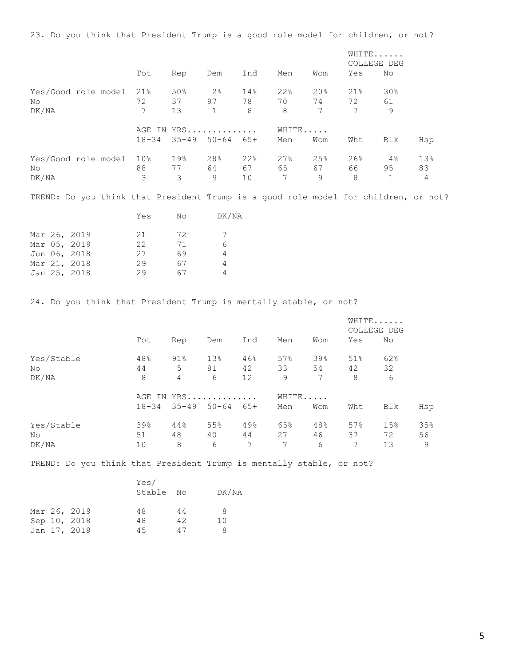23. Do you think that President Trump is a good role model for children, or not?

|                                        |  |         |                                             |                                  |                |                                                                                     |                                    |                       | WHITE<br>COLLEGE DEG  |                |
|----------------------------------------|--|---------|---------------------------------------------|----------------------------------|----------------|-------------------------------------------------------------------------------------|------------------------------------|-----------------------|-----------------------|----------------|
|                                        |  | Tot     | Rep                                         | Dem                              | Ind            | Men                                                                                 | Wom                                | Yes                   | No                    |                |
| Yes/Good role model 21%<br>No<br>DK/NA |  | 72<br>7 | 50%<br>37 97<br>13                          | 2 <sup>°</sup><br>1              | 14%<br>78<br>8 | 22%<br>70<br>8                                                                      | 20%<br>74 72 61<br>$7\phantom{.0}$ | 21%<br>7              | 30%<br>9              |                |
|                                        |  |         | AGE IN YRS<br>$18-34$ $35-49$ $50-64$ $65+$ |                                  |                | WHITE<br>Men                                                                        | Wom                                | Wht                   | Blk                   | Hsp            |
| Yes/Good role model 10%<br>No<br>DK/NA |  | 3       | 19 <sup>8</sup><br>88 77 64 67<br>3         | 28 <sup>°</sup><br>$\mathcal{Q}$ | 22%<br>10      | 27%<br>65<br>7                                                                      | 25%<br>67 —<br>$\mathsf{Q}$        | $26\%$<br>66 — 1<br>8 | $4\,$ $\,$<br>95<br>1 | 13%<br>83<br>4 |
|                                        |  |         |                                             |                                  |                | TREND: Do you think that President Trump is a good role model for children, or not? |                                    |                       |                       |                |

|  |              | Yes | No | DK/NA |
|--|--------------|-----|----|-------|
|  | Mar 26, 2019 | 21  | 72 |       |
|  | Mar 05, 2019 | 22  | 71 |       |
|  | Jun 06, 2018 | 27  | 69 |       |
|  | Mar 21, 2018 | 29  | 67 | 4     |
|  | Jan 25, 2018 | 29  | 67 |       |

24. Do you think that President Trump is mentally stable, or not?

|            |           |        |                     |     |       |     |     | WHITE<br>COLLEGE DEG |     |
|------------|-----------|--------|---------------------|-----|-------|-----|-----|----------------------|-----|
|            | Tot       | Rep    | Dem                 | Ind | Men   | Wom | Yes | No                   |     |
| Yes/Stable | 48%       | $91\%$ | 13%                 | 46% | 57%   | 39% | 51% | 62%                  |     |
| No         | 44        | 5      | 81                  | 42  | 33    | 54  | 42  | 32                   |     |
| DK/NA      | 8         | 4      | 6                   | 12  | 9     | 7   | 8   | 6                    |     |
|            |           |        | AGE IN YRS          |     | WHITE |     |     |                      |     |
|            | $18 - 34$ |        | $35 - 49$ $50 - 64$ | 65+ | Men   | Wom | Wht | Blk                  | Hsp |
| Yes/Stable | 39%       | 44%    | 55%                 | 49% | 65%   | 48% | 57% | 15%                  | 35% |
| No         | 51        | 48     | 40                  | 44  | 27    | 46  | 37  | 72                   | 56  |
| DK/NA      | 10        | 8      | 6                   | 7   | 7     | 6   | 7   | 13                   | 9   |

TREND: Do you think that President Trump is mentally stable, or not?

|  |              | Yes/<br>Stable | N∩ | DK/NA |
|--|--------------|----------------|----|-------|
|  | Mar 26, 2019 | 48             | 44 | 8     |
|  | Sep 10, 2018 | 48             | 42 | 10    |
|  | Jan 17, 2018 | 4.5            | 47 | Я     |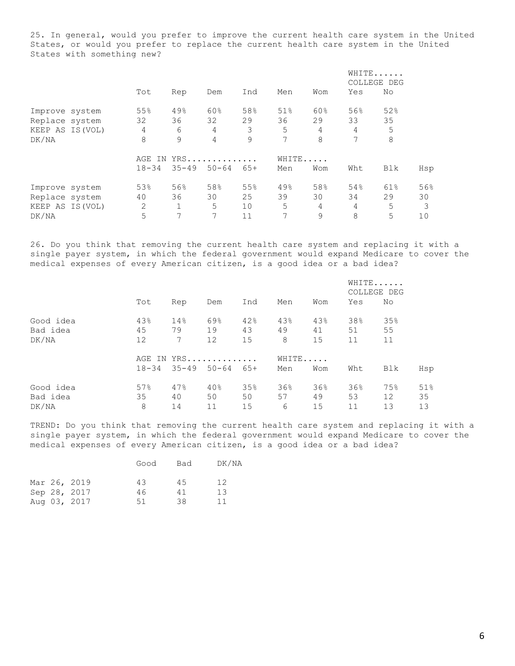25. In general, would you prefer to improve the current health care system in the United States, or would you prefer to replace the current health care system in the United States with something new?

|                  |           |              |            |       |       |                |     | WHITE<br>COLLEGE DEG |     |
|------------------|-----------|--------------|------------|-------|-------|----------------|-----|----------------------|-----|
|                  | Tot       | Rep          | Dem        | Ind   | Men   | Wom            | Yes | No                   |     |
| Improve system   | 55%       | 49%          | 60%        | 58%   | 51%   | 60%            | 56% | 52%                  |     |
| Replace system   | 32        | 36           | 32         | 29    | 36    | 29             | 33  | 35                   |     |
| KEEP AS IS (VOL) | 4         | 6            | 4          | 3     | 5     | $\overline{4}$ | 4   | 5                    |     |
| DK/NA            | 8         | 9            | 4          | 9     | 7     | 8              | 7   | 8                    |     |
|                  |           |              | AGE IN YRS |       | WHITE |                |     |                      |     |
|                  | $18 - 34$ | $35 - 49$    | $50 - 64$  | $65+$ | Men   | Wom            | Wht | Blk                  | Hsp |
| Improve system   | 53%       | 56%          | 58%        | 55%   | 49%   | 58%            | 54% | 61%                  | 56% |
| Replace system   | 40        | 36           | 30         | 25    | 39    | 30             | 34  | 29                   | 30  |
| KEEP AS IS (VOL) | 2         | $\mathbf{1}$ | 5          | 10    | 5     | 4              | 4   | 5                    | 3   |
| DK/NA            | 5         | 7            | 7          | 11    | 7     | 9              | 8   | 5                    | 10  |

26. Do you think that removing the current health care system and replacing it with a single payer system, in which the federal government would expand Medicare to cover the medical expenses of every American citizen, is a good idea or a bad idea?

|           |     |     |                               |     |     |       | WHITE<br>COLLEGE DEG |                 |     |
|-----------|-----|-----|-------------------------------|-----|-----|-------|----------------------|-----------------|-----|
|           | Tot | Rep | Dem                           | Ind | Men | Wom   | Yes                  | No              |     |
| Good idea | 43% | 14% | 69%                           | 42% | 43% | 43%   | 38%                  | 35%             |     |
| Bad idea  | 45  | 79  | 19                            | 43  | 49  | 41    | 51                   | 55              |     |
| DK/NA     | 12  | 7   | 12                            | 15  | 8   | 15    | 11                   | 11              |     |
|           |     |     | AGE IN YRS                    |     |     | WHITE |                      |                 |     |
|           |     |     | $18-34$ $35-49$ $50-64$ $65+$ |     | Men | Wom   | Wht                  | Blk             | Hsp |
| Good idea | 57% | 47% | 40%                           | 35% | 36% | 36%   | 36%                  | 75%             | 51% |
| Bad idea  | 35  | 40  | 50                            | 50  | 57  | 49    | 53                   | 12 <sup>°</sup> | 35  |
| DK/NA     | 8   | 14  | 11                            | 15  | 6   | 15    | 11                   | 13              | 13  |

TREND: Do you think that removing the current health care system and replacing it with a single payer system, in which the federal government would expand Medicare to cover the medical expenses of every American citizen, is a good idea or a bad idea?

|  |              | Good | Bad | DK/NA |
|--|--------------|------|-----|-------|
|  | Mar 26, 2019 | 43   | 4.5 | 12    |
|  | Sep 28, 2017 | 46   | 41  | 13    |
|  | Aug 03, 2017 | 51   | 38  | 11    |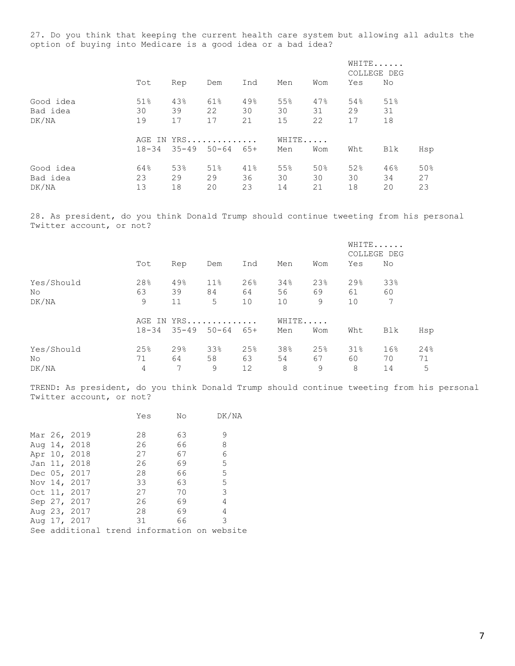27. Do you think that keeping the current health care system but allowing all adults the option of buying into Medicare is a good idea or a bad idea?

|           |     |     |                               |     |     |       |     | WHITE<br>COLLEGE DEG |     |
|-----------|-----|-----|-------------------------------|-----|-----|-------|-----|----------------------|-----|
|           | Tot | Rep | Dem                           | Ind | Men | Wom   | Yes | No                   |     |
| Good idea | 51% | 43% | 61%                           | 49% | 55% | 47%   | 54% | 51%                  |     |
| Bad idea  | 30  | 39  | 22                            | 30  | 30  | 31    | 29  | 31                   |     |
| DK/NA     | 19  | 17  | 17                            | 21  | 15  | 22    | 17  | 18                   |     |
|           |     |     | AGE IN YRS                    |     |     | WHITE |     |                      |     |
|           |     |     | $18-34$ $35-49$ $50-64$ $65+$ |     | Men | Wom   | Wht | Blk                  | Hsp |
| Good idea | 64% | 53% | 51%                           | 41% | 55% | 50%   | 52% | 46%                  | 50% |
| Bad idea  | 23  | 29  | 29                            | 36  | 30  | 30    | 30  | 34                   | 27  |
| DK/NA     | 13  | 18  | 20                            | 23  | 14  | 21    | 18  | 20                   | 23  |

28. As president, do you think Donald Trump should continue tweeting from his personal Twitter account, or not?

|            |           |                     |                 |       |       |     | WHITE<br>COLLEGE DEG |     |     |
|------------|-----------|---------------------|-----------------|-------|-------|-----|----------------------|-----|-----|
|            | Tot       | Rep                 | Dem             | Ind   | Men   | Wom | Yes                  | No  |     |
| Yes/Should | 28%       | 49%                 | 11 <sup>°</sup> | 26%   | 34%   | 23% | 29 <sub>8</sub>      | 33% |     |
| No         | 63        | 39                  | 84              | 64    | 56    | 69  | 61                   | 60  |     |
| DK/NA      | 9         | 11                  | 5               | 10    | 10    | 9   | 10                   | 7   |     |
|            | AGE IN    | $YRS$               |                 |       | WHITE |     |                      |     |     |
|            | $18 - 34$ | $35 - 49$ $50 - 64$ |                 | $65+$ | Men   | Wom | Wht                  | Blk | Hsp |
| Yes/Should | 25%       | 29%                 | 33%             | 25%   | 38%   | 25% | 31%                  | 16% | 24% |
| No         | 71        | 64                  | 58              | 63    | 54    | 67  | 60                   | 70  | 71  |
| DK/NA      | 4         | 7                   | 9               | 12    | 8     | 9   | 8                    | 14  | 5   |

TREND: As president, do you think Donald Trump should continue tweeting from his personal Twitter account, or not?

|  |              | Yes | No | DK/NA                                       |
|--|--------------|-----|----|---------------------------------------------|
|  |              |     |    |                                             |
|  | Mar 26, 2019 | 28  | 63 | 9                                           |
|  | Aug 14, 2018 | 26  | 66 | 8                                           |
|  | Apr 10, 2018 | 27  | 67 | 6                                           |
|  | Jan 11, 2018 | 26  | 69 | 5                                           |
|  | Dec 05, 2017 | 28  | 66 | 5                                           |
|  | Nov 14, 2017 | 33  | 63 | 5                                           |
|  | Oct 11, 2017 | 27  | 70 | 3                                           |
|  | Sep 27, 2017 | 26  | 69 | 4                                           |
|  | Aug 23, 2017 | 28  | 69 | 4                                           |
|  | Aug 17, 2017 | 31  | 66 | 3                                           |
|  |              |     |    | See additional trend information on website |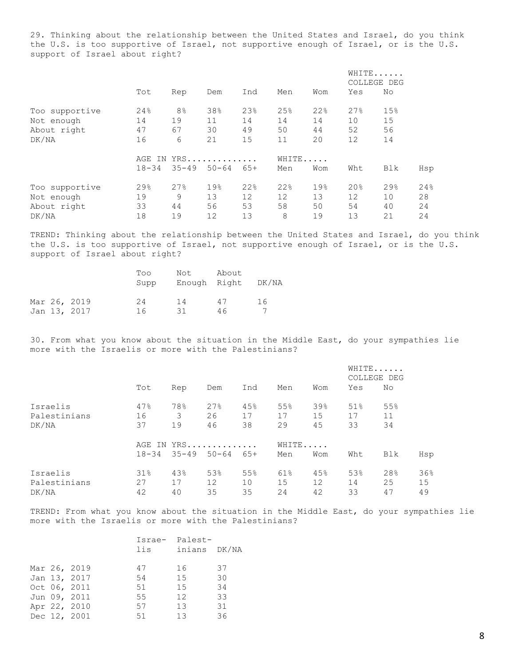29. Thinking about the relationship between the United States and Israel, do you think the U.S. is too supportive of Israel, not supportive enough of Israel, or is the U.S. support of Israel about right?

|                |           |                |           |       |       |     |     | WHITE<br>COLLEGE DEG |     |
|----------------|-----------|----------------|-----------|-------|-------|-----|-----|----------------------|-----|
|                | Tot       | Rep            | Dem       | Ind   | Men   | Wom | Yes | No                   |     |
| Too supportive | 24%       | 8 <sup>°</sup> | 38%       | 23%   | 25%   | 22% | 27% | 15%                  |     |
| Not enough     | 14        | 19             | 11        | 14    | 14    | 14  | 10  | 15                   |     |
| About right    | 47        | 67             | 30        | 49    | 50    | 44  | 52  | 56                   |     |
| DK/NA          | 16        | 6              | 21        | 15    | 11    | 20  | 12  | 14                   |     |
|                | AGE<br>IN |                | YRS       |       | WHITE |     |     |                      |     |
|                | $18 - 34$ | $35 - 49$      | $50 - 64$ | $65+$ | Men   | Wom | Wht | Blk                  | Hsp |
| Too supportive | 29%       | 27%            | 19%       | 22%   | 22%   | 19% | 20% | 29%                  | 24% |
| Not enough     | 19        | 9              | 13        | 12    | 12    | 13  | 12  | 10                   | 28  |
| About right    | 33        | 44             | 56        | 53    | 58    | 50  | 54  | 40                   | 24  |
| DK/NA          | 18        | 19             | 12        | 13    | 8     | 19  | 13  | 21                   | 24  |

TREND: Thinking about the relationship between the United States and Israel, do you think the U.S. is too supportive of Israel, not supportive enough of Israel, or is the U.S. support of Israel about right?

|  |              | Too<br>Supp | Not<br>Enough Right | About | DK/NA |
|--|--------------|-------------|---------------------|-------|-------|
|  | Mar 26, 2019 | 24          | 14                  | 47    | 16    |
|  | Jan 13, 2017 | 16          | 31                  | 46    |       |

30. From what you know about the situation in the Middle East, do your sympathies lie more with the Israelis or more with the Palestinians?

|              | Tot       |            |                            |     |       |     |     | WHITE<br>COLLEGE DEG |     |
|--------------|-----------|------------|----------------------------|-----|-------|-----|-----|----------------------|-----|
|              |           | Rep        | Dem                        | Ind | Men   | Wom | Yes | No                   |     |
| Israelis     | 47%       | 78%        | 27%                        | 45% | 55%   | 39% | 51% | 55%                  |     |
| Palestinians | 16        | 3          | 26                         | 17  | 17    | 15  | 17  | 11                   |     |
| DK/NA        | 37        | 19         | 46                         | 38  | 29    | 45  | 33  | 34                   |     |
|              |           | AGE IN YRS |                            |     | WHITE |     |     |                      |     |
|              | $18 - 34$ |            | $35 - 49$ $50 - 64$ $65 +$ |     | Men   | Wom | Wht | Blk                  | Hsp |
| Israelis     | $31\%$    | 43%        | 53%                        | 55% | 61%   | 45% | 53% | 28%                  | 36% |
| Palestinians | 27        | 17         | 12                         | 10  | 15    | 12  | 14  | 25                   | 15  |
| DK/NA        | 42        | 40         | 35                         | 35  | 24    | 42  | 33  | 47                   | 49  |

TREND: From what you know about the situation in the Middle East, do your sympathies lie more with the Israelis or more with the Palestinians?

|  |              |     | Israe- Palest- |    |  |  |
|--|--------------|-----|----------------|----|--|--|
|  |              | lis | inians DK/NA   |    |  |  |
|  |              |     |                |    |  |  |
|  | Mar 26, 2019 | 47  | 16             | 37 |  |  |
|  | Jan 13, 2017 | 54  | 15             | 30 |  |  |
|  | Oct 06, 2011 | 51  | 15             | 34 |  |  |
|  | Jun 09, 2011 | 55  | 12             | 33 |  |  |
|  | Apr 22, 2010 | 57  | 13             | 31 |  |  |
|  | Dec 12, 2001 | 51  | 13             | 36 |  |  |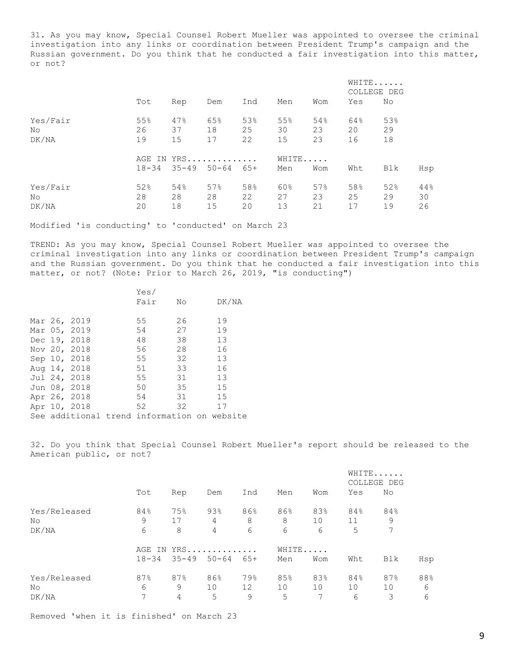31. As you may know, Special Counsel Robert Mueller was appointed to oversee the criminal investigation into any links or coordination between President Trump's campaign and the Russian government. Do you think that he conducted a fair investigation into this matter, or not?

|                          | Tot             |                 |                               |                 |                 |                 |                 | WHITE<br>COLLEGE DEG |                 |
|--------------------------|-----------------|-----------------|-------------------------------|-----------------|-----------------|-----------------|-----------------|----------------------|-----------------|
|                          |                 | Rep             | Dem                           | Ind             | Men             | Wom             | Yes             | No                   |                 |
| Yes/Fair<br>No<br>DK/NA  | 55%<br>26<br>19 | 47%<br>37<br>15 | 65%<br>18<br>17               | 53%<br>25<br>22 | 55%<br>30<br>15 | 54%<br>23<br>23 | 64%<br>20<br>16 | 53%<br>29<br>18      |                 |
|                          | $18 - 34$       |                 | AGE IN YRS<br>$35 - 49$ 50-64 | 65+             | WHITE<br>Men    | Wom             | Wht             | Blk                  | Hsp             |
| Yes/Fair<br>No.<br>DK/NA | 52%<br>28<br>20 | 54%<br>28<br>18 | 57%<br>28<br>15               | 58%<br>22<br>20 | 60%<br>27<br>13 | 57%<br>23<br>21 | 58%<br>25<br>17 | 52%<br>29<br>19      | 44%<br>30<br>26 |

Modified 'is conducting' to 'conducted' on March 23

TREND: As you may know, Special Counsel Robert Mueller was appointed to oversee the criminal investigation into any links or coordination between President Trump's campaign and the Russian government. Do you think that he conducted a fair investigation into this matter, or not? (Note: Prior to March 26, 2019, "is conducting")

|  |                                             | Yes/ |    |       |  |
|--|---------------------------------------------|------|----|-------|--|
|  |                                             | Fair | No | DK/NA |  |
|  |                                             |      |    |       |  |
|  | Mar 26, 2019                                | 55   | 26 | 19    |  |
|  | Mar 05, 2019                                | 54   | 27 | 19    |  |
|  | Dec 19, 2018                                | 48   | 38 | 13    |  |
|  | Nov 20, 2018                                | 56   | 28 | 16    |  |
|  | Sep 10, 2018                                | 55   | 32 | 13    |  |
|  | Aug 14, 2018                                | 51   | 33 | 16    |  |
|  | Jul 24, 2018                                | 55   | 31 | 13    |  |
|  | Jun 08, 2018                                | 50   | 35 | 15    |  |
|  | Apr 26, 2018                                | 54   | 31 | 15    |  |
|  | Apr 10, 2018                                | 52   | 32 | 17    |  |
|  | See additional trend information on website |      |    |       |  |

32. Do you think that Special Counsel Robert Mueller's report should be released to the American public, or not?

|                             |                |               |                         |                |                |                |                | WHITE<br>COLLEGE DEG |               |
|-----------------------------|----------------|---------------|-------------------------|----------------|----------------|----------------|----------------|----------------------|---------------|
|                             | Tot            | Rep           | Dem                     | Ind            | Men            | Wom            | Yes            | No                   |               |
| Yes/Released<br>No          | 84%<br>9       | 75%<br>17     | 93%<br>4                | 86%<br>8       | 86%<br>8       | 83%<br>10      | 84%<br>11      | 84%<br>9             |               |
| DK/NA                       | 6<br>AGE<br>ΙN | 8             | $\overline{4}$<br>$YRS$ | 6              | 6<br>WHITE     | 6              | 5              | 7                    |               |
|                             | $18 - 34$      |               | $35 - 49$ 50-64         | 65+            | Men            | Wom            | Wht            | Blk                  | Hsp           |
| Yes/Released<br>No<br>DK/NA | 87%<br>6<br>7  | 87%<br>9<br>4 | 86%<br>10<br>5          | 79%<br>12<br>9 | 85%<br>10<br>5 | 83%<br>10<br>7 | 84%<br>10<br>6 | 87%<br>10<br>3       | 88%<br>6<br>6 |

Removed 'when it is finished' on March 23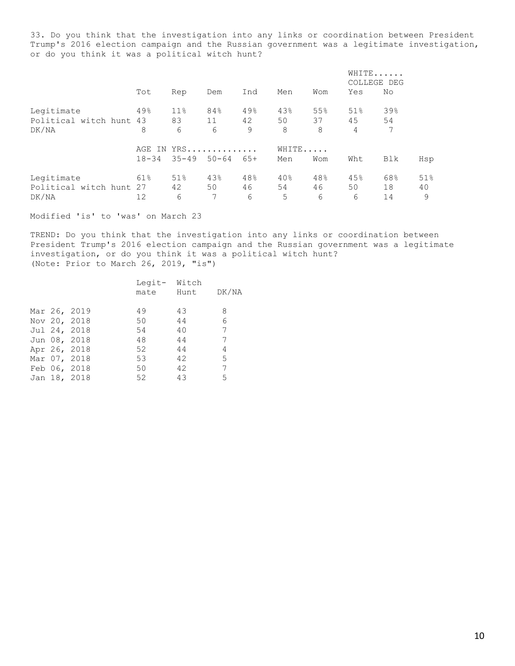33. Do you think that the investigation into any links or coordination between President Trump's 2016 election campaign and the Russian government was a legitimate investigation, or do you think it was a political witch hunt?

|                         |           |                 |           |       |       |     |     | WHITE<br>COLLEGE DEG |     |
|-------------------------|-----------|-----------------|-----------|-------|-------|-----|-----|----------------------|-----|
|                         | Tot       | Rep             | Dem       | Ind   | Men   | Wom | Yes | No                   |     |
| Legitimate              | 49%       | 11 <sup>°</sup> | 84%       | 49%   | 43%   | 55% | 51% | 39%                  |     |
| Political witch hunt 43 |           | 83              | 11        | 42    | 50    | 37  | 45  | 54                   |     |
| DK/NA                   | 8         | 6               | 6         | 9     | 8     | 8   | 4   | 7                    |     |
|                         | AGE IN    |                 | $YRS$     |       | WHITE |     |     |                      |     |
|                         | $18 - 34$ | $35 - 49$       | $50 - 64$ | $65+$ | Men   | Wom | Wht | Blk                  | Hsp |
| Legitimate              | 61%       | 51%             | 43%       | 48%   | 40%   | 48% | 45% | 68%                  | 51% |
| Political witch hunt 27 |           | 42              | 50        | 46    | 54    | 46  | 50  | 18                   | 40  |
| DK/NA                   | 12        | 6               | 7         | 6     | 5     | 6   | 6   | 14                   | 9   |

Modified 'is' to 'was' on March 23

TREND: Do you think that the investigation into any links or coordination between President Trump's 2016 election campaign and the Russian government was a legitimate investigation, or do you think it was a political witch hunt? (Note: Prior to March 26, 2019, "is")

|  |  |              |    |           | Legit- Witch    |  |  |  |  |
|--|--|--------------|----|-----------|-----------------|--|--|--|--|
|  |  |              |    | mate Hunt | DK/NA           |  |  |  |  |
|  |  | Mar 26, 2019 | 49 | 43        | 8               |  |  |  |  |
|  |  | Nov 20, 2018 | 50 | 44        | 6               |  |  |  |  |
|  |  | Jul 24, 2018 | 54 | 40        | 7               |  |  |  |  |
|  |  | Jun 08, 2018 | 48 | 44        | 7               |  |  |  |  |
|  |  | Apr 26, 2018 | 52 | 44        | 4               |  |  |  |  |
|  |  | Mar 07, 2018 | 53 | 42        | 5               |  |  |  |  |
|  |  | Feb 06, 2018 | 50 | 42        | $7\phantom{.0}$ |  |  |  |  |
|  |  | Jan 18, 2018 | 52 | 43        | 5               |  |  |  |  |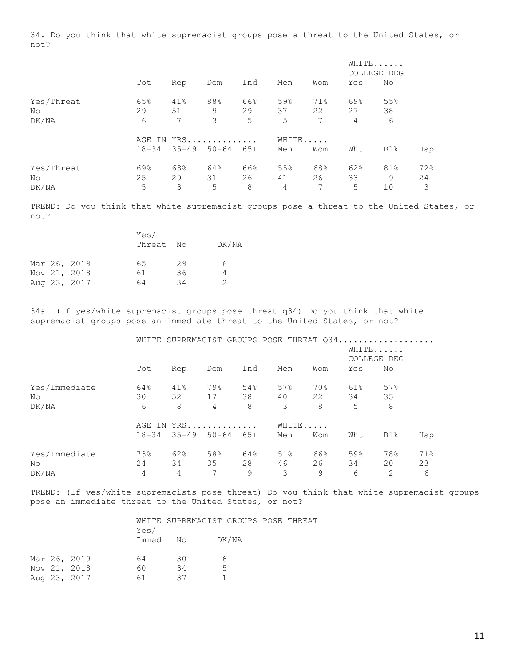34. Do you think that white supremacist groups pose a threat to the United States, or not?

|                            |                |                |                         |                | WHITE<br>COLLEGE DEG |                |                |                |                |
|----------------------------|----------------|----------------|-------------------------|----------------|----------------------|----------------|----------------|----------------|----------------|
|                            | Tot            | Rep            | Dem                     | Ind            | Men                  | Wom            | Yes            | No             |                |
| Yes/Threat<br>No<br>DK/NA  | 65%<br>29<br>6 | 41%<br>51<br>7 | 88%<br>9<br>3           | 66%<br>29<br>5 | 59%<br>37<br>5       | 71%<br>22<br>7 | 69%<br>27<br>4 | 55%<br>38<br>6 |                |
|                            | $18 - 34$      | $35 - 49$      | AGE IN YRS<br>$50 - 64$ | 65+            | WHITE<br>Men         | Wom            | Wht            | Blk            | Hsp            |
| Yes/Threat<br>No.<br>DK/NA | 69%<br>25<br>5 | 68%<br>29<br>3 | 64%<br>31<br>5          | 66%<br>26<br>8 | 55%<br>41<br>4       | 68%<br>26<br>7 | 62%<br>33<br>5 | 81%<br>9<br>10 | 72%<br>24<br>3 |

TREND: Do you think that white supremacist groups pose a threat to the United States, or not?

|  |              | Yes/<br>Threat No |    | DK/NA |
|--|--------------|-------------------|----|-------|
|  | Mar 26, 2019 | 65                | 29 | 6     |
|  | Nov 21, 2018 | 61                | 36 |       |
|  | Aug 23, 2017 | 64                | 34 | 2     |

34a. (If yes/white supremacist groups pose threat q34) Do you think that white supremacist groups pose an immediate threat to the United States, or not?

|               |     |     |                               |     | WHITE SUPREMACIST GROUPS POSE THREAT Q34 |     |       |                      |     |
|---------------|-----|-----|-------------------------------|-----|------------------------------------------|-----|-------|----------------------|-----|
|               |     |     |                               |     |                                          |     |       | WHITE<br>COLLEGE DEG |     |
|               | Tot | Rep | Dem                           | Ind | Men                                      | Wom | Yes   | No                   |     |
| Yes/Immediate | 64% | 41% | 79%                           | 54% | 57%                                      | 70% | 61%   | 57%                  |     |
| No.           | 30  | 52  | 17 38                         |     | 40                                       |     | 22 34 | 35                   |     |
| DK/NA         | 6   | 8   | $\overline{4}$                | 8   | 3                                        | 8   | 5     | 8                    |     |
|               |     |     | AGE IN YRS                    |     | WHITE                                    |     |       |                      |     |
|               |     |     | $18-34$ $35-49$ $50-64$ $65+$ |     | Men                                      | Wom | Wht   | Blk                  | Hsp |
| Yes/Immediate | 73% | 62% | 58%                           | 64% | 51%                                      | 66% | 59%   | 78%                  | 71% |
| No.           | 24  | 34  | 35                            | 28  | 46                                       | 26  | 34    | 20                   | 23  |
| DK/NA         | 4   | 4   | 7                             | 9   | 3                                        | 9   | 6     | $\overline{2}$       | 6   |

TREND: (If yes/white supremacists pose threat) Do you think that white supremacist groups pose an immediate threat to the United States, or not?

|  |              |          | WHITE SUPREMACIST GROUPS POSE THREAT |       |  |
|--|--------------|----------|--------------------------------------|-------|--|
|  |              | Yes/     |                                      |       |  |
|  |              | Immed No |                                      | DK/NA |  |
|  |              |          |                                      |       |  |
|  | Mar 26, 2019 | 64       | 30                                   |       |  |
|  | Nov 21, 2018 | 60       | 34                                   | 5     |  |
|  | Aug 23, 2017 | 61       | 37                                   |       |  |